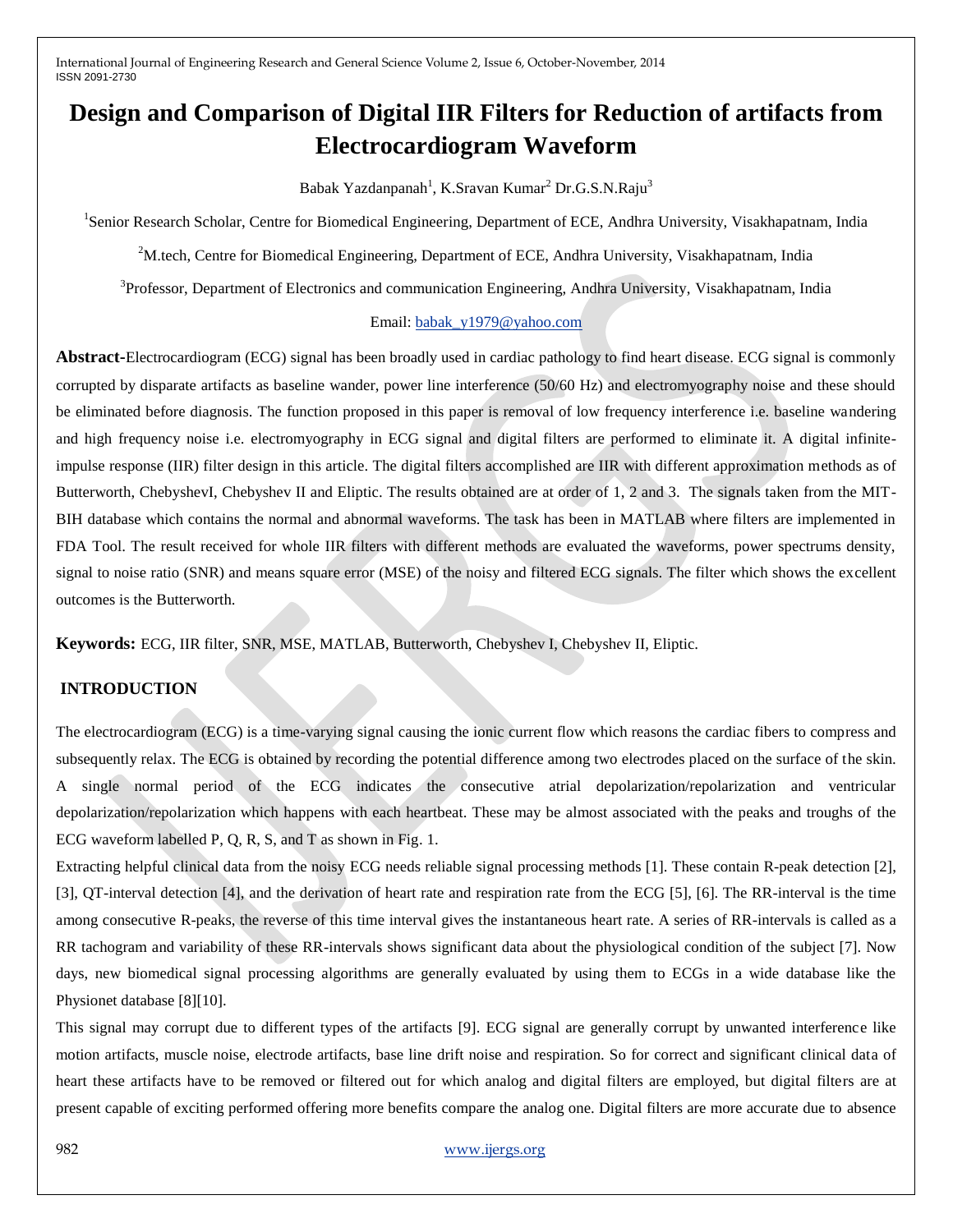# **Design and Comparison of Digital IIR Filters for Reduction of artifacts from Electrocardiogram Waveform**

Babak Yazdanpanah<sup>1</sup>, K.Sravan Kumar<sup>2</sup> Dr.G.S.N.Raju<sup>3</sup>

<sup>1</sup>Senior Research Scholar, Centre for Biomedical Engineering, Department of ECE, Andhra University, Visakhapatnam, India

<sup>2</sup>M.tech, Centre for Biomedical Engineering, Department of ECE, Andhra University, Visakhapatnam, India

<sup>3</sup>Professor, Department of Electronics and communication Engineering, Andhra University, Visakhapatnam, India

#### Email: [babak\\_y1979@yahoo.com](mailto:babak_y1979@yahoo.com)

**Abstract-**Electrocardiogram (ECG) signal has been broadly used in cardiac pathology to find heart disease. ECG signal is commonly corrupted by disparate artifacts as baseline wander, power line interference (50/60 Hz) and electromyography noise and these should be eliminated before diagnosis. The function proposed in this paper is removal of low frequency interference i.e. baseline wandering and high frequency noise i.e. electromyography in ECG signal and digital filters are performed to eliminate it. A digital infiniteimpulse response (IIR) filter design in this article. The digital filters accomplished are IIR with different approximation methods as of Butterworth, ChebyshevI, Chebyshev II and Eliptic. The results obtained are at order of 1, 2 and 3. The signals taken from the MIT-BIH database which contains the normal and abnormal waveforms. The task has been in MATLAB where filters are implemented in FDA Tool. The result received for whole IIR filters with different methods are evaluated the waveforms, power spectrums density, signal to noise ratio (SNR) and means square error (MSE) of the noisy and filtered ECG signals. The filter which shows the excellent outcomes is the Butterworth.

**Keywords:** ECG, IIR filter, SNR, MSE, MATLAB, Butterworth, Chebyshev I, Chebyshev II, Eliptic.

## **INTRODUCTION**

The electrocardiogram (ECG) is a time-varying signal causing the ionic current flow which reasons the cardiac fibers to compress and subsequently relax. The ECG is obtained by recording the potential difference among two electrodes placed on the surface of the skin. A single normal period of the ECG indicates the consecutive atrial depolarization/repolarization and ventricular depolarization/repolarization which happens with each heartbeat. These may be almost associated with the peaks and troughs of the ECG waveform labelled P, Q, R, S, and T as shown in Fig. 1.

Extracting helpful clinical data from the noisy ECG needs reliable signal processing methods [1]. These contain R-peak detection [2], [3], QT-interval detection [4], and the derivation of heart rate and respiration rate from the ECG [5], [6]. The RR-interval is the time among consecutive R-peaks, the reverse of this time interval gives the instantaneous heart rate. A series of RR-intervals is called as a RR tachogram and variability of these RR-intervals shows significant data about the physiological condition of the subject [7]. Now days, new biomedical signal processing algorithms are generally evaluated by using them to ECGs in a wide database like the Physionet database [8][10].

This signal may corrupt due to different types of the artifacts [9]. ECG signal are generally corrupt by unwanted interference like motion artifacts, muscle noise, electrode artifacts, base line drift noise and respiration. So for correct and significant clinical data of heart these artifacts have to be removed or filtered out for which analog and digital filters are employed, but digital filters are at present capable of exciting performed offering more benefits compare the analog one. Digital filters are more accurate due to absence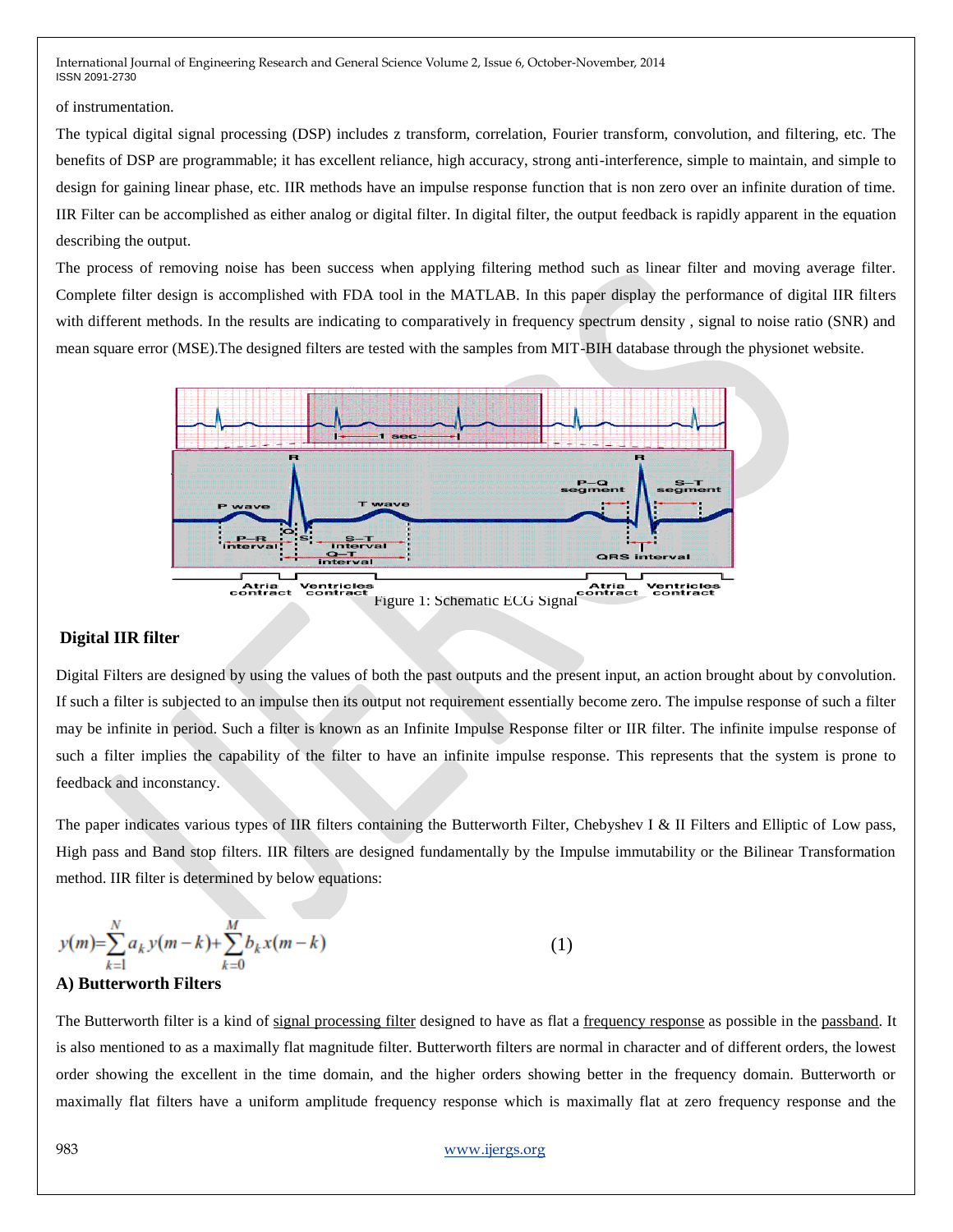of instrumentation.

The typical digital signal processing (DSP) includes z transform, correlation, Fourier transform, convolution, and filtering, etc. The benefits of DSP are programmable; it has excellent reliance, high accuracy, strong anti-interference, simple to maintain, and simple to design for gaining linear phase, etc. IIR methods have an impulse response function that is non zero over an infinite duration of time. IIR Filter can be accomplished as either analog or digital filter. In digital filter, the output feedback is rapidly apparent in the equation describing the output.

The process of removing noise has been success when applying filtering method such as linear filter and moving average filter. Complete filter design is accomplished with FDA tool in the MATLAB. In this paper display the performance of digital IIR filters with different methods. In the results are indicating to comparatively in frequency spectrum density , signal to noise ratio (SNR) and mean square error (MSE).The designed filters are tested with the samples from MIT-BIH database through the physionet website.



#### **Digital IIR filter**

Digital Filters are designed by using the values of both the past outputs and the present input, an action brought about by convolution. If such a filter is subjected to an impulse then its output not requirement essentially become zero. The impulse response of such a filter may be infinite in period. Such a filter is known as an Infinite Impulse Response filter or IIR filter. The infinite impulse response of such a filter implies the capability of the filter to have an infinite impulse response. This represents that the system is prone to feedback and inconstancy.

The paper indicates various types of IIR filters containing the Butterworth Filter, Chebyshev I & II Filters and Elliptic of Low pass, High pass and Band stop filters. IIR filters are designed fundamentally by the Impulse immutability or the Bilinear Transformation method. IIR filter is determined by below equations:

$$
y(m) = \sum_{k=1}^{N} a_k y(m-k) + \sum_{k=0}^{M} b_k x(m-k)
$$
 (1)

#### **A) Butterworth Filters**

The Butterworth filter is a kind of [signal processing filter](http://en.wikipedia.org/wiki/Filter_(signal_processing)) designed to have as flat a [frequency response](http://en.wikipedia.org/wiki/Frequency_response) as possible in the [passband.](http://en.wikipedia.org/wiki/Passband) It is also mentioned to as a maximally flat magnitude filter. Butterworth filters are normal in character and of different orders, the lowest order showing the excellent in the time domain, and the higher orders showing better in the frequency domain. Butterworth or maximally flat filters have a uniform amplitude frequency response which is maximally flat at zero frequency response and the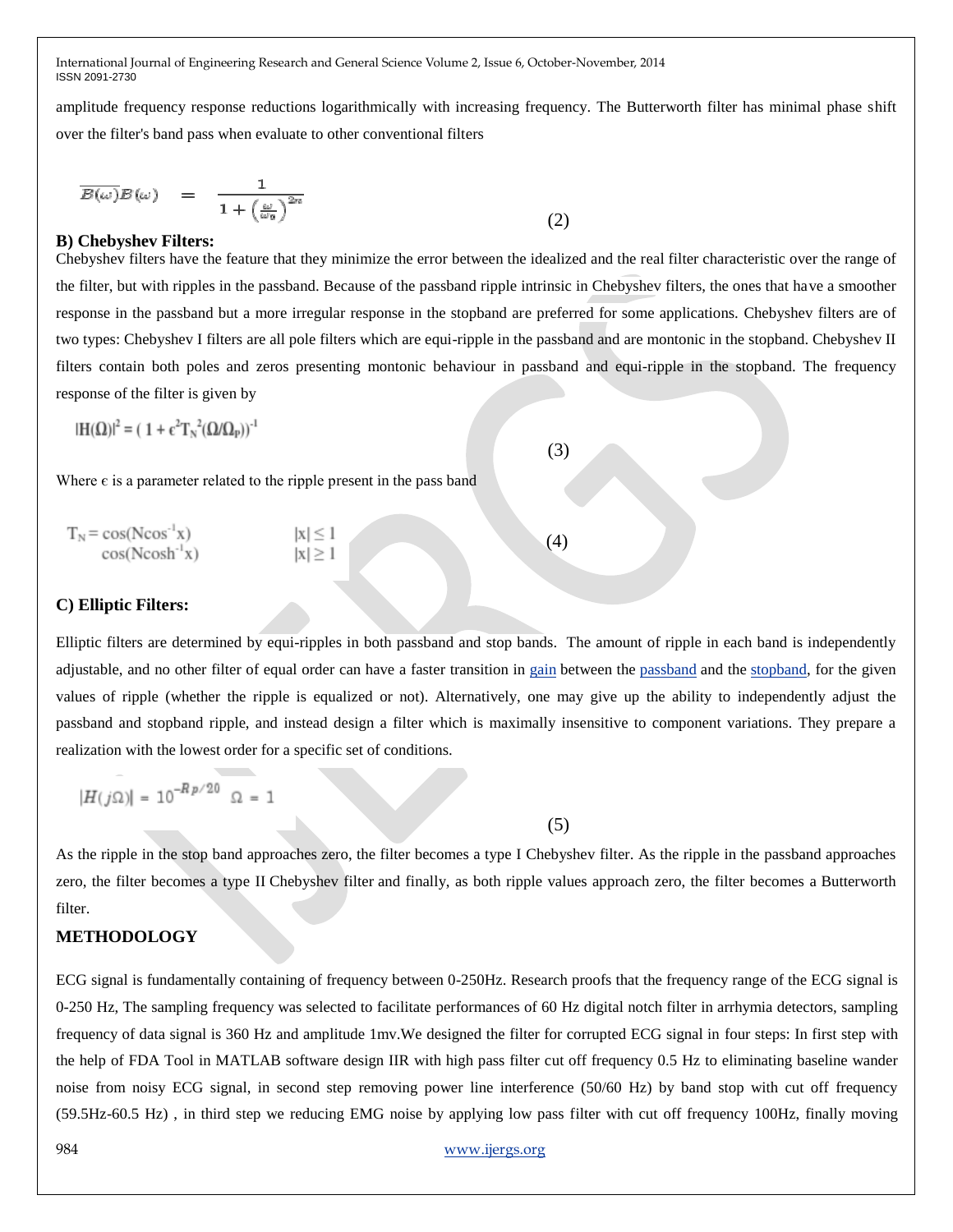amplitude frequency response reductions logarithmically with increasing frequency. The Butterworth filter has minimal phase shift over the filter's band pass when evaluate to other conventional filters

$$
\overline{B(\omega)}B(\omega) = \frac{1}{1 + \left(\frac{\omega}{\omega_0}\right)^{2n}}\tag{2}
$$

#### **B) Chebyshev Filters:**

Chebyshev filters have the feature that they minimize the error between the idealized and the real filter characteristic over the range of the filter, but with ripples in the passband. Because of the passband ripple intrinsic in Chebyshev filters, the ones that have a smoother response in the passband but a more irregular response in the stopband are preferred for some applications. Chebyshev filters are of two types: Chebyshev I filters are all pole filters which are equi-ripple in the passband and are montonic in the stopband. Chebyshev II filters contain both poles and zeros presenting montonic behaviour in passband and equi-ripple in the stopband. The frequency response of the filter is given by

 $(3)$ 

$$
|\mathbf{H}(\Omega)|^2 = (1 + \epsilon^2 \mathbf{T}_N^{-2} (\Omega/\Omega_P))^2
$$

Where  $\epsilon$  is a parameter related to the ripple present in the pass band

 $T_N = \cos(N\cos^{-1}x)$   $|x| \le 1$  (4)<br>  $\cos(N\cosh^{-1}x)$   $|x| > 1$  (4)

#### **C) Elliptic Filters:**

Elliptic filters are determined by equi-ripples in both passband and stop bands. The amount of ripple in each band is independently adjustable, and no other filter of equal order can have a faster transition in [gain](http://en.wikipedia.org/wiki/Gain) between the [passband](http://en.wikipedia.org/wiki/Passband) and the [stopband,](http://en.wikipedia.org/wiki/Stopband) for the given values of ripple (whether the ripple is equalized or not). Alternatively, one may give up the ability to independently adjust the passband and stopband ripple, and instead design a filter which is maximally insensitive to component variations. They prepare a realization with the lowest order for a specific set of conditions.

$$
|H(j\Omega)|=10^{-Rp/20}\ \Omega=1
$$

 $(5)$ 

As the ripple in the stop band approaches zero, the filter becomes a type I [Chebyshev filter.](http://en.wikipedia.org/wiki/Chebyshev_filter) As the ripple in the passband approaches zero, the filter becomes a type II [Chebyshev filter](http://en.wikipedia.org/wiki/Chebyshev_filter) and finally, as both ripple values approach zero, the filter becomes a [Butterworth](http://en.wikipedia.org/wiki/Butterworth_filter)  [filter.](http://en.wikipedia.org/wiki/Butterworth_filter)

## **METHODOLOGY**

ECG signal is fundamentally containing of frequency between 0-250Hz. Research proofs that the frequency range of the ECG signal is 0-250 Hz, The sampling frequency was selected to facilitate performances of 60 Hz digital notch filter in arrhymia detectors, sampling frequency of data signal is 360 Hz and amplitude 1mv.We designed the filter for corrupted ECG signal in four steps: In first step with the help of FDA Tool in MATLAB software design IIR with high pass filter cut off frequency 0.5 Hz to eliminating baseline wander noise from noisy ECG signal, in second step removing power line interference (50/60 Hz) by band stop with cut off frequency (59.5Hz-60.5 Hz) , in third step we reducing EMG noise by applying low pass filter with cut off frequency 100Hz, finally moving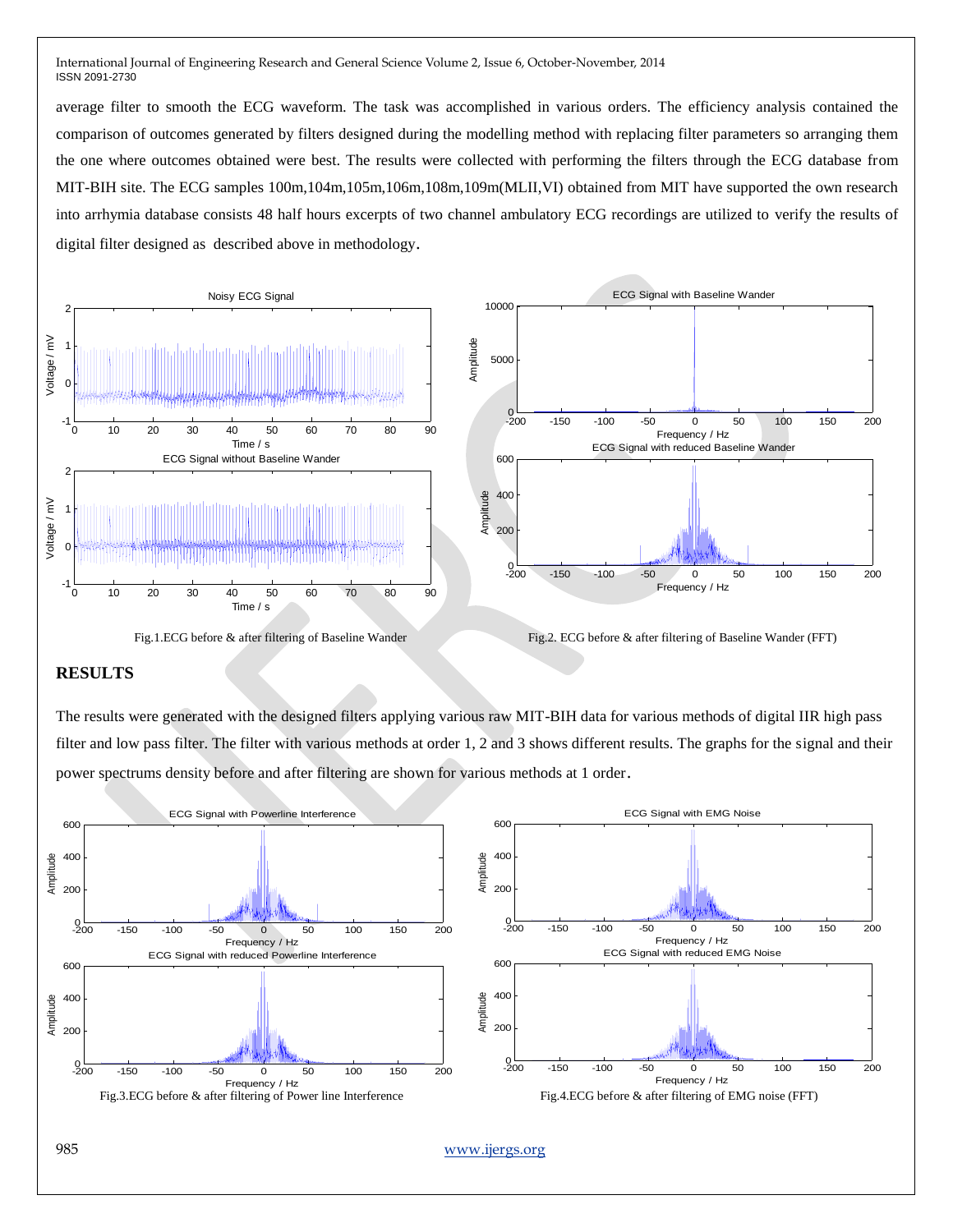average filter to smooth the ECG waveform. The task was accomplished in various orders. The efficiency analysis contained the comparison of outcomes generated by filters designed during the modelling method with replacing filter parameters so arranging them the one where outcomes obtained were best. The results were collected with performing the filters through the ECG database from MIT-BIH site. The ECG samples 100m,104m,105m,106m,108m,109m(MLII,VI) obtained from MIT have supported the own research into arrhymia database consists 48 half hours excerpts of two channel ambulatory ECG recordings are utilized to verify the results of digital filter designed as described above in methodology.



Fig.2. ECG before & after filtering of Baseline Wander Fig.2. ECG before & after filtering of Baseline Wander (FFT)

#### **RESULTS**

The results were generated with the designed filters applying various raw MIT-BIH data for various methods of digital IIR high pass filter and low pass filter. The filter with various methods at order 1, 2 and 3 shows different results. The graphs for the signal and their power spectrums density before and after filtering are shown for various methods at 1 order.

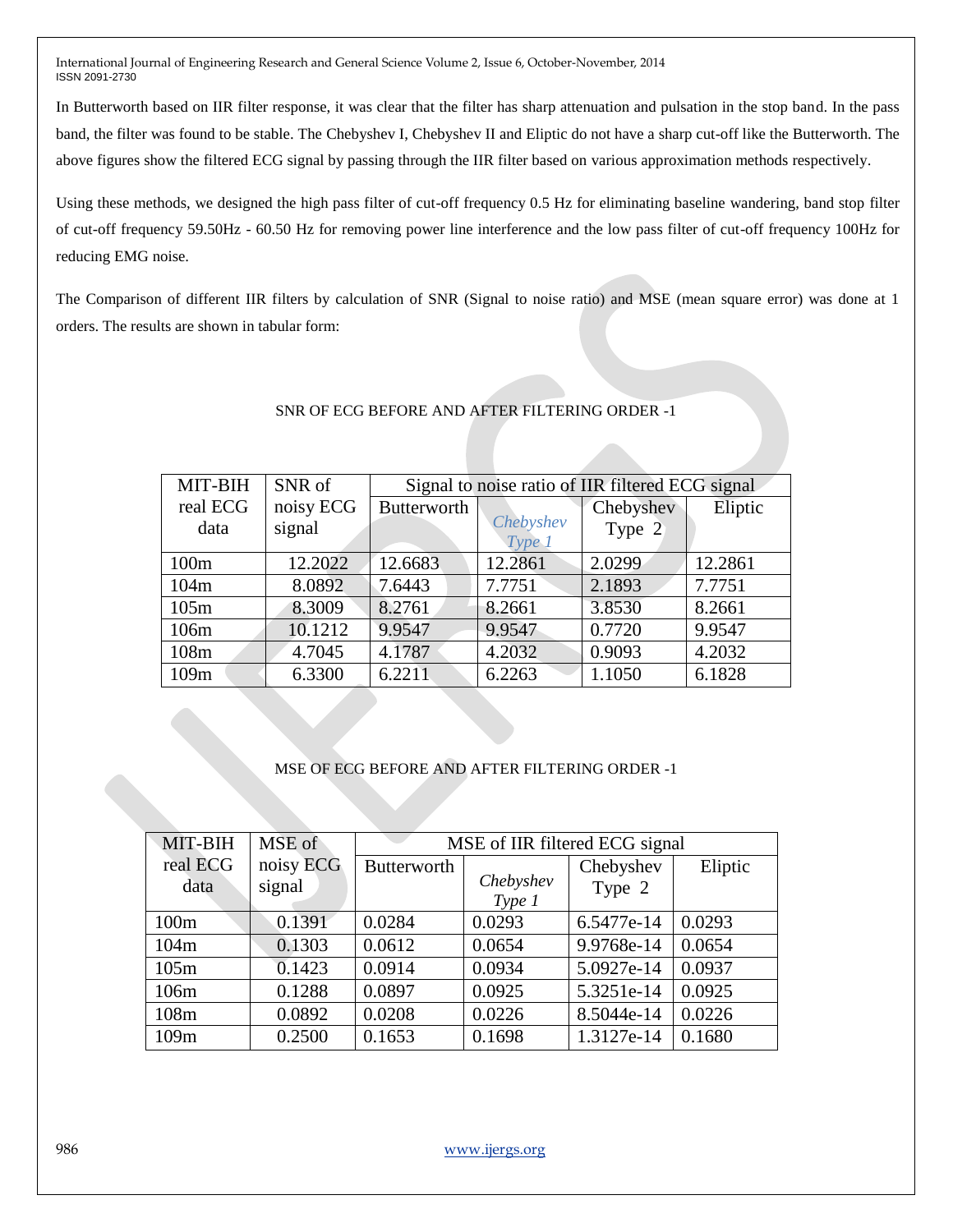In Butterworth based on IIR filter response, it was clear that the filter has sharp attenuation and pulsation in the stop band. In the pass band, the filter was found to be stable. The Chebyshev I, Chebyshev II and Eliptic do not have a sharp cut-off like the Butterworth. The above figures show the filtered ECG signal by passing through the IIR filter based on various approximation methods respectively.

Using these methods, we designed the high pass filter of cut-off frequency 0.5 Hz for eliminating baseline wandering, band stop filter of cut-off frequency 59.50Hz - 60.50 Hz for removing power line interference and the low pass filter of cut-off frequency 100Hz for reducing EMG noise.

The Comparison of different IIR filters by calculation of SNR (Signal to noise ratio) and MSE (mean square error) was done at 1 orders. The results are shown in tabular form:

| MIT-BIH  | SNR of    | Signal to noise ratio of IIR filtered ECG signal |                     |           |         |  |  |
|----------|-----------|--------------------------------------------------|---------------------|-----------|---------|--|--|
|          |           |                                                  |                     |           |         |  |  |
| real ECG | noisy ECG | Butterworth                                      |                     | Chebyshev | Eliptic |  |  |
| data     | signal    |                                                  | Chebyshev<br>Type 1 | Type 2    |         |  |  |
| 100m     | 12.2022   | 12.6683                                          | 12.2861             | 2.0299    | 12.2861 |  |  |
| 104m     | 8.0892    | 7.6443                                           | 7.7751              | 2.1893    | 7.7751  |  |  |
| 105m     | 8.3009    | 8.2761                                           | 8.2661              | 3.8530    | 8.2661  |  |  |
| 106m     | 10.1212   | 9.9547                                           | 9.9547              | 0.7720    | 9.9547  |  |  |
| 108m     | 4.7045    | 4.1787                                           | 4.2032              | 0.9093    | 4.2032  |  |  |
| 109m     | 6.3300    | 6.2211                                           | 6.2263              | 1.1050    | 6.1828  |  |  |

# SNR OF ECG BEFORE AND AFTER FILTERING ORDER -1

## MSE OF ECG BEFORE AND AFTER FILTERING ORDER -1

| MIT-BIH  | MSE of    | MSE of IIR filtered ECG signal |                     |            |         |  |
|----------|-----------|--------------------------------|---------------------|------------|---------|--|
| real ECG | noisy ECG | <b>Butterworth</b>             |                     | Chebyshev  | Eliptic |  |
| data     | signal    |                                | Chebyshev<br>Type 1 | Type 2     |         |  |
|          |           |                                |                     |            |         |  |
| 100m     | 0.1391    | 0.0284                         | 0.0293              | 6.5477e-14 | 0.0293  |  |
| 104m     | 0.1303    | 0.0612                         | 0.0654              | 9.9768e-14 | 0.0654  |  |
| 105m     | 0.1423    | 0.0914                         | 0.0934              | 5.0927e-14 | 0.0937  |  |
| 106m     | 0.1288    | 0.0897                         | 0.0925              | 5.3251e-14 | 0.0925  |  |
| 108m     | 0.0892    | 0.0208                         | 0.0226              | 8.5044e-14 | 0.0226  |  |
| 109m     | 0.2500    | 0.1653                         | 0.1698              | 1.3127e-14 | 0.1680  |  |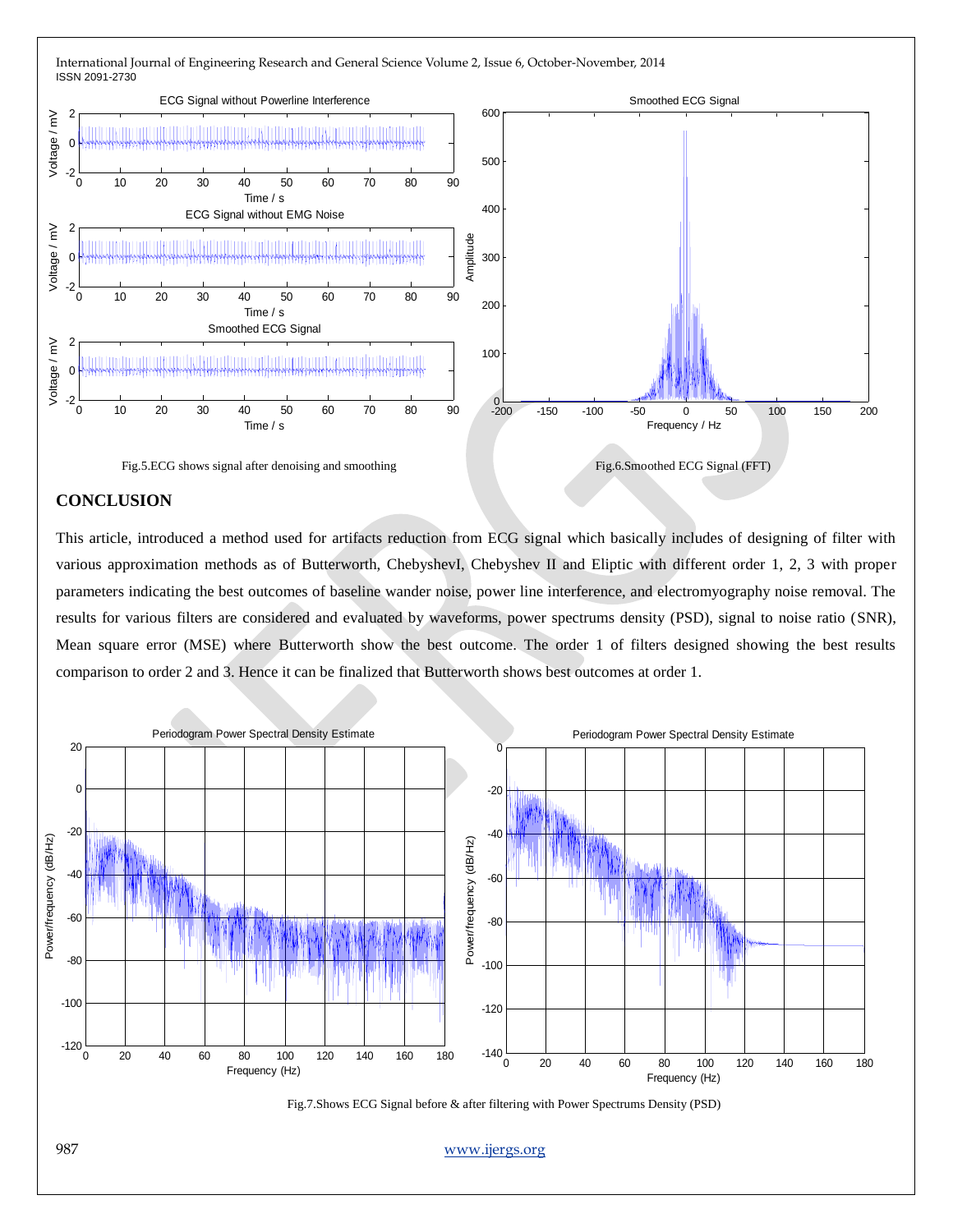

## **CONCLUSION**

This article, introduced a method used for artifacts reduction from ECG signal which basically includes of designing of filter with various approximation methods as of Butterworth, ChebyshevI, Chebyshev II and Eliptic with different order 1, 2, 3 with proper parameters indicating the best outcomes of baseline wander noise, power line interference, and electromyography noise removal. The results for various filters are considered and evaluated by waveforms, power spectrums density (PSD), signal to noise ratio (SNR), Mean square error (MSE) where Butterworth show the best outcome. The order 1 of filters designed showing the best results comparison to order 2 and 3. Hence it can be finalized that Butterworth shows best outcomes at order 1.



987 www.ijergs.org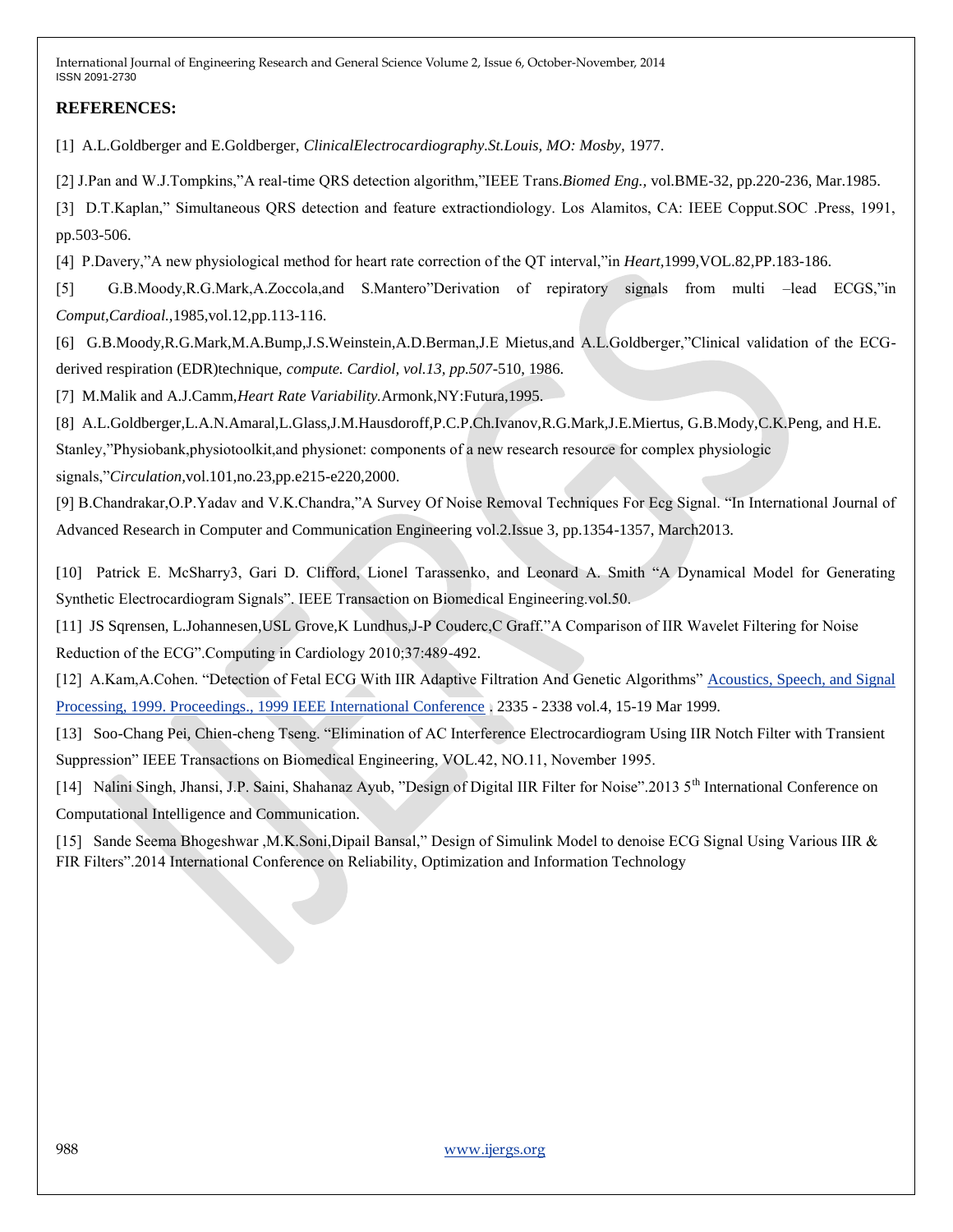# **REFERENCES:**

[1] A.L.Goldberger and E.Goldberger, *ClinicalElectrocardiography.St.Louis, MO: Mosby,* 1977.

[2] J.Pan and W.J.Tompkins,"A real-time QRS detection algorithm,"IEEE Trans.*Biomed Eng.,* vol.BME-32, pp.220-236, Mar.1985.

[3] D.T.Kaplan," Simultaneous QRS detection and feature extractiondiology. Los Alamitos, CA: IEEE Copput.SOC .Press, 1991, pp.503-506.

[4] P.Davery,"A new physiological method for heart rate correction of the QT interval,"in *Heart,*1999,VOL.82,PP.183-186.

[5] G.B.Moody,R.G.Mark,A.Zoccola,and S.Mantero"Derivation of repiratory signals from multi –lead ECGS,"in *Comput,Cardioal.,*1985,vol.12,pp.113-116.

[6] G.B.Moody,R.G.Mark,M.A.Bump,J.S.Weinstein,A.D.Berman,J.E Mietus,and A.L.Goldberger,"Clinical validation of the ECGderived respiration (EDR)technique, *compute. Cardiol, vol.13, pp.507*-510, 1986.

[7] M.Malik and A.J.Camm,*Heart Rate Variability.*Armonk,NY:Futura,1995.

[8] A.L.Goldberger,L.A.N.Amaral,L.Glass,J.M.Hausdoroff,P.C.P.Ch.Ivanov,R.G.Mark,J.E.Miertus, G.B.Mody,C.K.Peng, and H.E.

Stanley,"Physiobank,physiotoolkit,and physionet: components of a new research resource for complex physiologic

signals,"*Circulation,*vol.101,no.23,pp.e215-e220,2000.

[9] B.Chandrakar,O.P.Yadav and V.K.Chandra,"A Survey Of Noise Removal Techniques For Ecg Signal. "In International Journal of Advanced Research in Computer and Communication Engineering vol.2.Issue 3, pp.1354-1357, March2013.

[10] Patrick E. McSharry3, Gari D. Clifford, Lionel Tarassenko, and Leonard A. Smith "A Dynamical Model for Generating Synthetic Electrocardiogram Signals". IEEE Transaction on Biomedical Engineering.vol.50.

[11] JS Sqrensen, L.Johannesen,USL Grove,K Lundhus,J-P Couderc,C Graff."A Comparison of IIR Wavelet Filtering for Noise Reduction of the ECG".Computing in Cardiology 2010;37:489-492.

[12] A.Kam,A.Cohen. "Detection of Fetal ECG With IIR Adaptive Filtration And Genetic Algorithms" [Acoustics, Speech, and Signal](http://ieeexplore.ieee.org/xpl/mostRecentIssue.jsp?punumber=6110)  [Processing, 1999. Proceedings., 1999 IEEE International Conference](http://ieeexplore.ieee.org/xpl/mostRecentIssue.jsp?punumber=6110) . 2335 - 2338 vol.4, 15-19 Mar 1999.

[13] Soo-Chang Pei, Chien-cheng Tseng. "Elimination of AC Interference Electrocardiogram Using IIR Notch Filter with Transient Suppression" IEEE Transactions on Biomedical Engineering, VOL.42, NO.11, November 1995.

[14] Nalini Singh, Jhansi, J.P. Saini, Shahanaz Ayub, "Design of Digital IIR Filter for Noise".2013 5<sup>th</sup> International Conference on Computational Intelligence and Communication.

[15] Sande Seema Bhogeshwar ,M.K.Soni,Dipail Bansal," Design of Simulink Model to denoise ECG Signal Using Various IIR & FIR Filters".2014 International Conference on Reliability, Optimization and Information Technology